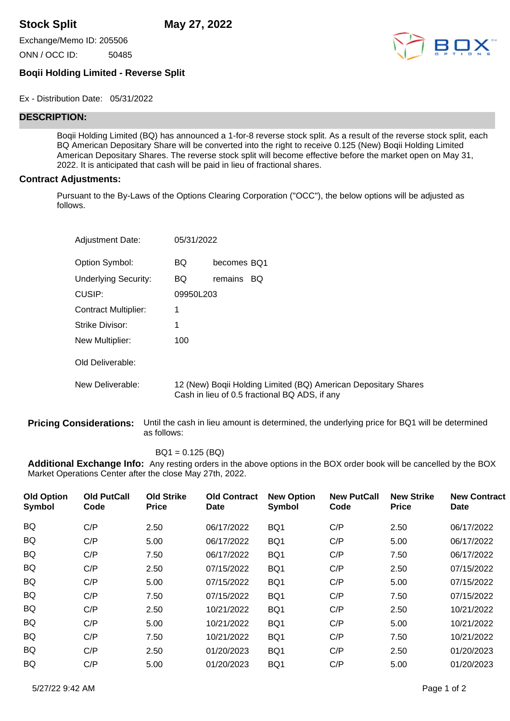**Stock Split May 27, 2022**

Exchange/Memo ID: 205506

ONN / OCC ID: 50485



## **Boqii Holding Limited - Reverse Split**

Ex - Distribution Date: 05/31/2022

## **DESCRIPTION:**

Boqii Holding Limited (BQ) has announced a 1-for-8 reverse stock split. As a result of the reverse stock split, each BQ American Depositary Share will be converted into the right to receive 0.125 (New) Boqii Holding Limited American Depositary Shares. The reverse stock split will become effective before the market open on May 31, 2022. It is anticipated that cash will be paid in lieu of fractional shares.

## **Contract Adjustments:**

Pursuant to the By-Laws of the Options Clearing Corporation ("OCC"), the below options will be adjusted as follows.

| <b>Adjustment Date:</b>     | 05/31/2022 |                                                                                                                 |
|-----------------------------|------------|-----------------------------------------------------------------------------------------------------------------|
| Option Symbol:              | BQ         | becomes BQ1                                                                                                     |
| <b>Underlying Security:</b> | BQ         | remains<br>BQ                                                                                                   |
| CUSIP:                      | 09950L203  |                                                                                                                 |
| Contract Multiplier:        | 1          |                                                                                                                 |
| Strike Divisor:             | 1          |                                                                                                                 |
| New Multiplier:             | 100        |                                                                                                                 |
| Old Deliverable:            |            |                                                                                                                 |
| New Deliverable:            |            | 12 (New) Boqii Holding Limited (BQ) American Depositary Shares<br>Cash in lieu of 0.5 fractional BQ ADS, if any |

**Pricing Considerations:** Until the cash in lieu amount is determined, the underlying price for BQ1 will be determined as follows:

BQ1 = 0.125 (BQ)

**Additional Exchange Info:** Any resting orders in the above options in the BOX order book will be cancelled by the BOX Market Operations Center after the close May 27th, 2022.

| <b>Old Option</b><br>Symbol | <b>Old PutCall</b><br>Code | <b>Old Strike</b><br><b>Price</b> | <b>Old Contract</b><br><b>Date</b> | <b>New Option</b><br><b>Symbol</b> | <b>New PutCall</b><br>Code | <b>New Strike</b><br><b>Price</b> | <b>New Contract</b><br><b>Date</b> |
|-----------------------------|----------------------------|-----------------------------------|------------------------------------|------------------------------------|----------------------------|-----------------------------------|------------------------------------|
| <b>BQ</b>                   | C/P                        | 2.50                              | 06/17/2022                         | BQ1                                | C/P                        | 2.50                              | 06/17/2022                         |
| <b>BQ</b>                   | C/P                        | 5.00                              | 06/17/2022                         | BQ1                                | C/P                        | 5.00                              | 06/17/2022                         |
| <b>BQ</b>                   | C/P                        | 7.50                              | 06/17/2022                         | BQ1                                | C/P                        | 7.50                              | 06/17/2022                         |
| <b>BQ</b>                   | C/P                        | 2.50                              | 07/15/2022                         | BQ1                                | C/P                        | 2.50                              | 07/15/2022                         |
| <b>BQ</b>                   | C/P                        | 5.00                              | 07/15/2022                         | BQ1                                | C/P                        | 5.00                              | 07/15/2022                         |
| BQ                          | C/P                        | 7.50                              | 07/15/2022                         | BQ1                                | C/P                        | 7.50                              | 07/15/2022                         |
| <b>BQ</b>                   | C/P                        | 2.50                              | 10/21/2022                         | BQ1                                | C/P                        | 2.50                              | 10/21/2022                         |
| <b>BQ</b>                   | C/P                        | 5.00                              | 10/21/2022                         | BQ1                                | C/P                        | 5.00                              | 10/21/2022                         |
| <b>BQ</b>                   | C/P                        | 7.50                              | 10/21/2022                         | BQ1                                | C/P                        | 7.50                              | 10/21/2022                         |
| <b>BQ</b>                   | C/P                        | 2.50                              | 01/20/2023                         | BQ1                                | C/P                        | 2.50                              | 01/20/2023                         |
| BQ                          | C/P                        | 5.00                              | 01/20/2023                         | BQ1                                | C/P                        | 5.00                              | 01/20/2023                         |